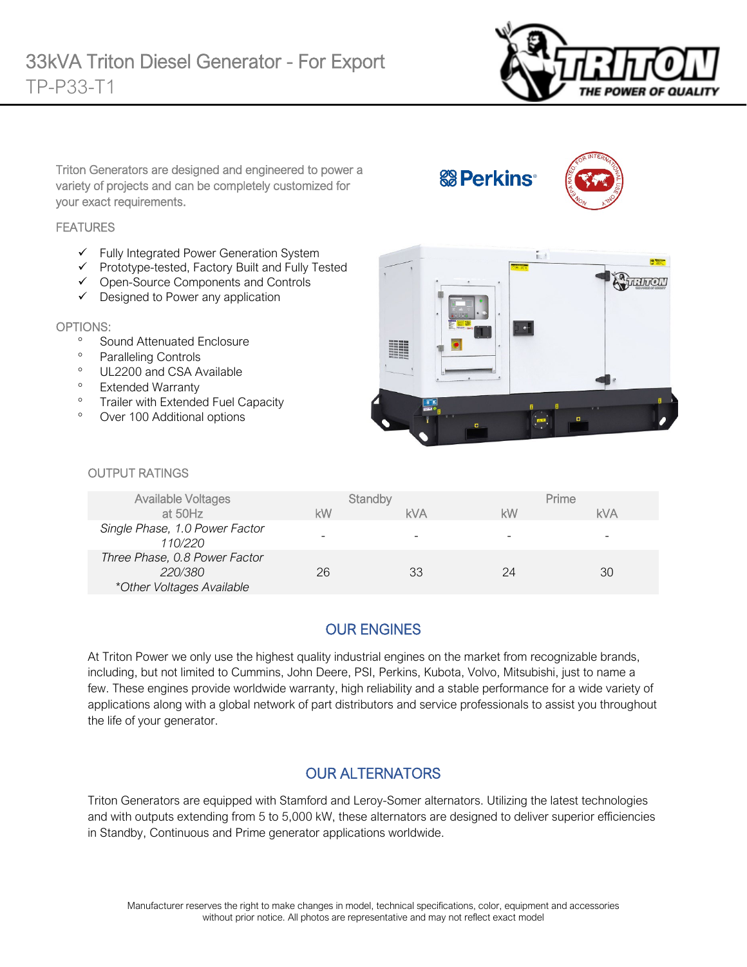

Triton Generators are designed and engineered to power a variety of projects and can be completely customized for your exact requirements.

#### **FEATURES**

- $\checkmark$  Fully Integrated Power Generation System
- $\checkmark$  Prototype-tested, Factory Built and Fully Tested
- Open-Source Components and Controls
- $\checkmark$  Designed to Power any application

#### OPTIONS:

- ° Sound Attenuated Enclosure
- Paralleling Controls
- ° UL2200 and CSA Available
- ° Extended Warranty
- ° Trailer with Extended Fuel Capacity
- ° Over 100 Additional options



**&B** Perkins<sup>®</sup>

#### OUTPUT RATINGS

| <b>Available Voltages</b>                                             |    | Standby    |    | Prime      |
|-----------------------------------------------------------------------|----|------------|----|------------|
| at 50Hz                                                               | kW | <b>kVA</b> | kW | <b>kVA</b> |
| Single Phase, 1.0 Power Factor<br>110/220                             | -  |            |    |            |
| Three Phase, 0.8 Power Factor<br>220/380<br>*Other Voltages Available | 26 | 33         | 24 | 30         |

#### OUR ENGINES

At Triton Power we only use the highest quality industrial engines on the market from recognizable brands, including, but not limited to Cummins, John Deere, PSI, Perkins, Kubota, Volvo, Mitsubishi, just to name a few. These engines provide worldwide warranty, high reliability and a stable performance for a wide variety of applications along with a global network of part distributors and service professionals to assist you throughout the life of your generator.

### OUR ALTERNATORS

Triton Generators are equipped with Stamford and Leroy-Somer alternators. Utilizing the latest technologies and with outputs extending from 5 to 5,000 kW, these alternators are designed to deliver superior efficiencies in Standby, Continuous and Prime generator applications worldwide.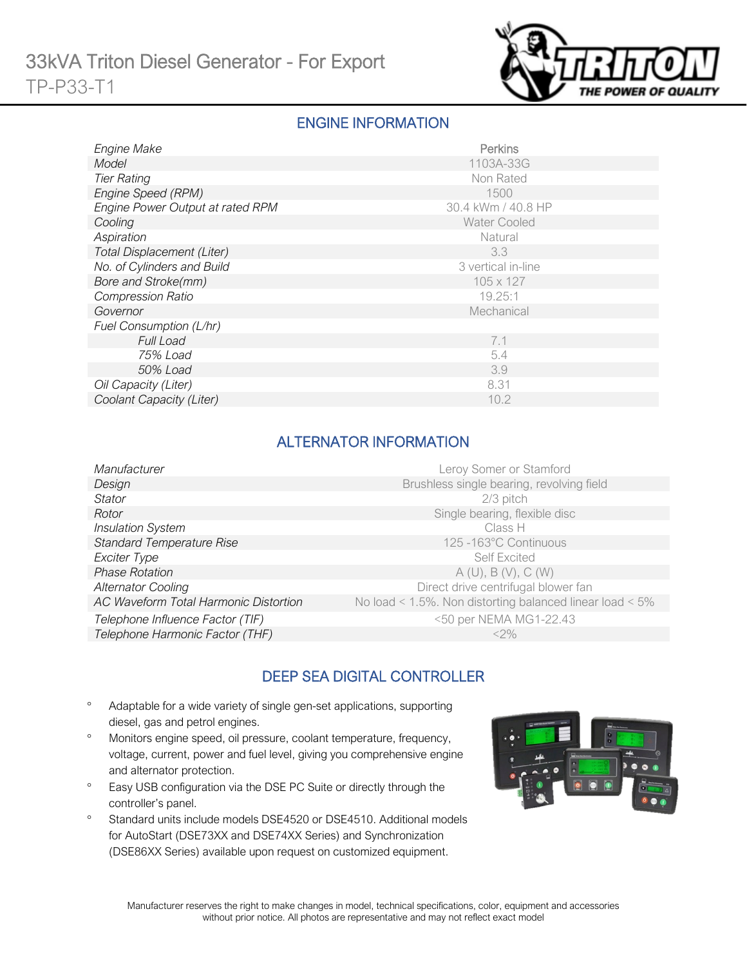

### ENGINE INFORMATION

| Engine Make                      | Perkins             |
|----------------------------------|---------------------|
| Model                            | 1103A-33G           |
| <b>Tier Rating</b>               | Non Rated           |
| Engine Speed (RPM)               | 1500                |
| Engine Power Output at rated RPM | 30.4 kWm / 40.8 HP  |
| Cooling                          | <b>Water Cooled</b> |
| Aspiration                       | Natural             |
| Total Displacement (Liter)       | 3.3                 |
| No. of Cylinders and Build       | 3 vertical in-line  |
| Bore and Stroke(mm)              | 105 x 127           |
| <b>Compression Ratio</b>         | 19.25:1             |
| Governor                         | Mechanical          |
| Fuel Consumption (L/hr)          |                     |
| <b>Full Load</b>                 | 7.1                 |
| 75% Load                         | 5.4                 |
| 50% Load                         | 3.9                 |
| Oil Capacity (Liter)             | 8.31                |
| Coolant Capacity (Liter)         | 10.2                |

## ALTERNATOR INFORMATION

| Manufacturer                          | Leroy Somer or Stamford                                         |
|---------------------------------------|-----------------------------------------------------------------|
| Design                                | Brushless single bearing, revolving field                       |
| Stator                                | $2/3$ pitch                                                     |
| Rotor                                 | Single bearing, flexible disc                                   |
| <b>Insulation System</b>              | Class H                                                         |
| <b>Standard Temperature Rise</b>      | 125-163°C Continuous                                            |
| Exciter Type                          | Self Excited                                                    |
| <b>Phase Rotation</b>                 | A(U), B(V), C(W)                                                |
| <b>Alternator Cooling</b>             | Direct drive centrifugal blower fan                             |
| AC Waveform Total Harmonic Distortion | No load < $1.5\%$ . Non distorting balanced linear load < $5\%$ |
| Telephone Influence Factor (TIF)      | <50 per NEMA MG1-22.43                                          |
| Telephone Harmonic Factor (THF)       | $<$ 2%                                                          |
|                                       |                                                                 |

# DEEP SEA DIGITAL CONTROLLER

- ° Adaptable for a wide variety of single gen-set applications, supporting diesel, gas and petrol engines.
- ° Monitors engine speed, oil pressure, coolant temperature, frequency, voltage, current, power and fuel level, giving you comprehensive engine and alternator protection.
- ° Easy USB configuration via the DSE PC Suite or directly through the controller's panel.
- ° Standard units include models DSE4520 or DSE4510. Additional models for AutoStart (DSE73XX and DSE74XX Series) and Synchronization (DSE86XX Series) available upon request on customized equipment.

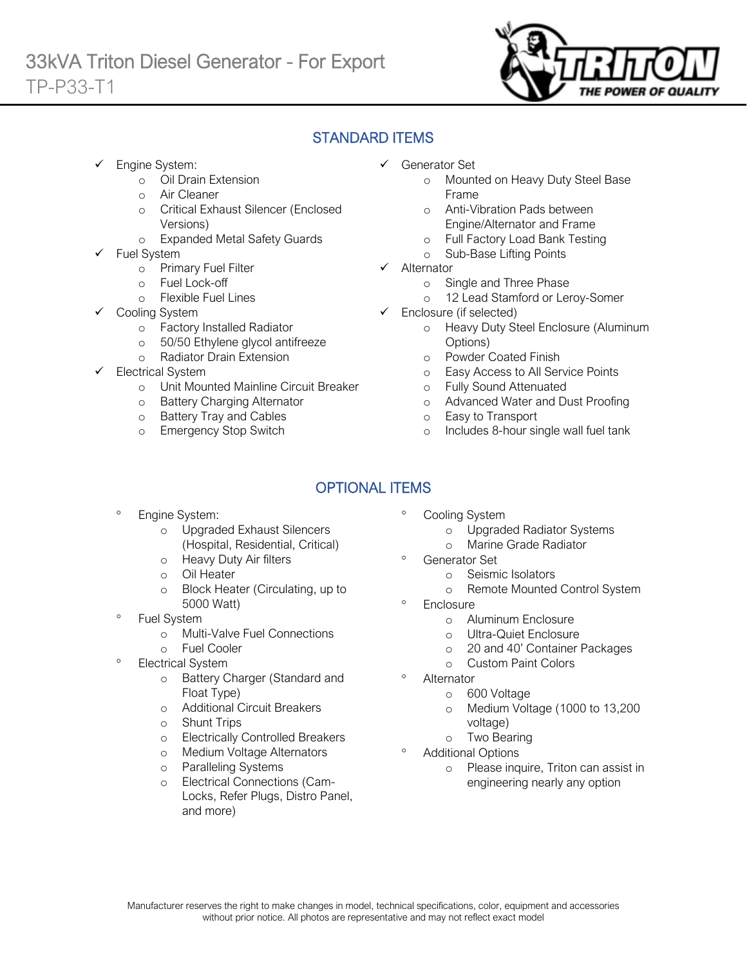

# STANDARD ITEMS

- Engine System:
	- o Oil Drain Extension
	- o Air Cleaner
	- o Critical Exhaust Silencer (Enclosed Versions)
	- o Expanded Metal Safety Guards
- Fuel System
	- o Primary Fuel Filter
	- o Fuel Lock-off
		- o Flexible Fuel Lines
	- Cooling System
		- o Factory Installed Radiator<br>
		o 50/50 Ethylene glycol antif
		- 50/50 Ethylene glycol antifreeze
		- o Radiator Drain Extension
- Electrical System
	- o Unit Mounted Mainline Circuit Breaker
	- o Battery Charging Alternator
	- o Battery Tray and Cables
	- o Emergency Stop Switch
- Generator Set
	- o Mounted on Heavy Duty Steel Base Frame
	- o Anti-Vibration Pads between Engine/Alternator and Frame
	- o Full Factory Load Bank Testing
	- o Sub-Base Lifting Points
- $\checkmark$  Alternator
	- o Single and Three Phase
	- o 12 Lead Stamford or Leroy-Somer
- $\checkmark$  Enclosure (if selected)
	- o Heavy Duty Steel Enclosure (Aluminum Options)
	- o Powder Coated Finish
	- o Easy Access to All Service Points
	- o Fully Sound Attenuated
	- o Advanced Water and Dust Proofing
	- o Easy to Transport
	- o Includes 8-hour single wall fuel tank

# OPTIONAL ITEMS

- Engine System:
	- o Upgraded Exhaust Silencers (Hospital, Residential, Critical)
	- o Heavy Duty Air filters
	- o Oil Heater
	- o Block Heater (Circulating, up to 5000 Watt)
- ° Fuel System
	- o Multi-Valve Fuel Connections
	- o Fuel Cooler
- Electrical System
	- o Battery Charger (Standard and Float Type)
	- o Additional Circuit Breakers
	- o Shunt Trips
	- o Electrically Controlled Breakers
	- o Medium Voltage Alternators
	- o Paralleling Systems
	- o Electrical Connections (Cam-Locks, Refer Plugs, Distro Panel, and more)
- Cooling System
	- o Upgraded Radiator Systems
	- o Marine Grade Radiator
	- Generator Set
		- o Seismic Isolators
		- o Remote Mounted Control System
- **Enclosure** 
	- o Aluminum Enclosure
	- o Ultra-Quiet Enclosure
	- o 20 and 40' Container Packages
	- o Custom Paint Colors
- **Alternator** 
	- o 600 Voltage
	- o Medium Voltage (1000 to 13,200 voltage)
	- o Two Bearing
- Additional Options
	- o Please inquire, Triton can assist in engineering nearly any option